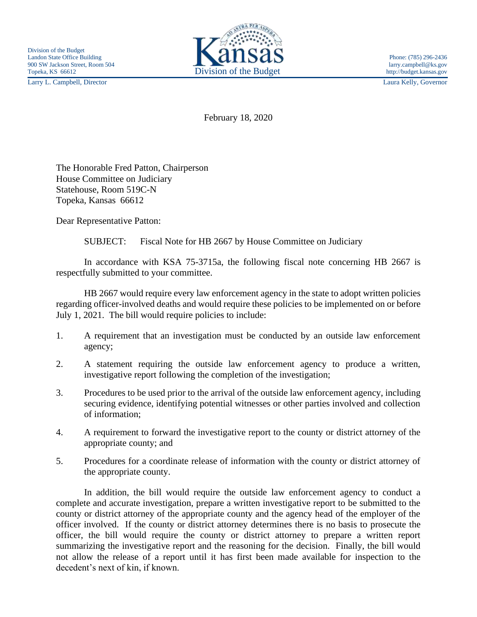Larry L. Campbell, Director Laura Kelly, Governor



February 18, 2020

The Honorable Fred Patton, Chairperson House Committee on Judiciary Statehouse, Room 519C-N Topeka, Kansas 66612

Dear Representative Patton:

SUBJECT: Fiscal Note for HB 2667 by House Committee on Judiciary

In accordance with KSA 75-3715a, the following fiscal note concerning HB 2667 is respectfully submitted to your committee.

HB 2667 would require every law enforcement agency in the state to adopt written policies regarding officer-involved deaths and would require these policies to be implemented on or before July 1, 2021. The bill would require policies to include:

- 1. A requirement that an investigation must be conducted by an outside law enforcement agency;
- 2. A statement requiring the outside law enforcement agency to produce a written, investigative report following the completion of the investigation;
- 3. Procedures to be used prior to the arrival of the outside law enforcement agency, including securing evidence, identifying potential witnesses or other parties involved and collection of information;
- 4. A requirement to forward the investigative report to the county or district attorney of the appropriate county; and
- 5. Procedures for a coordinate release of information with the county or district attorney of the appropriate county.

In addition, the bill would require the outside law enforcement agency to conduct a complete and accurate investigation, prepare a written investigative report to be submitted to the county or district attorney of the appropriate county and the agency head of the employer of the officer involved. If the county or district attorney determines there is no basis to prosecute the officer, the bill would require the county or district attorney to prepare a written report summarizing the investigative report and the reasoning for the decision. Finally, the bill would not allow the release of a report until it has first been made available for inspection to the decedent's next of kin, if known.